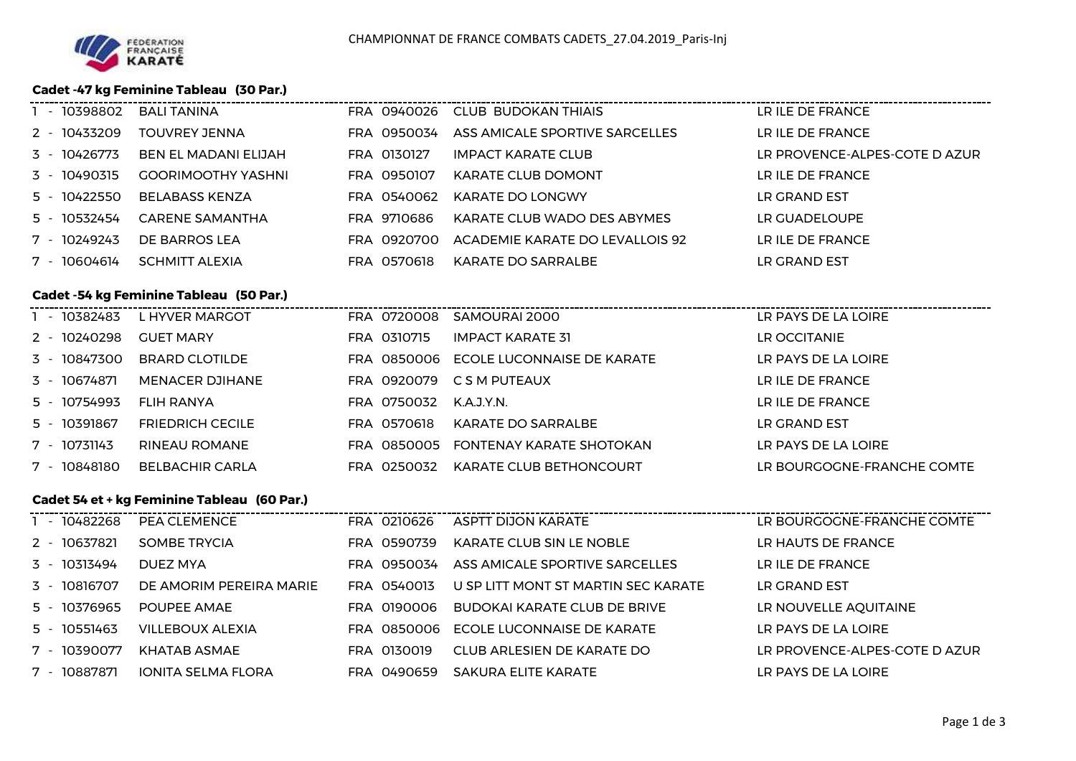### **Cadet -47 kg Feminine Tableau (30 Par.)**

| - 10398802   | <b>BALI TANINA</b>        | FRA 0940026 | CLUB BUDOKAN THIAIS             | LR ILE DE FRANCE              |
|--------------|---------------------------|-------------|---------------------------------|-------------------------------|
| 2 - 10433209 | TOUVREY JENNA             | FRA 0950034 | ASS AMICALE SPORTIVE SARCELLES  | LR ILE DE FRANCE              |
| 3 - 10426773 | BEN EL MADANI ELIJAH      | FRA 0130127 | IMPACT KARATE CLUB              | LR PROVENCE-ALPES-COTE D AZUR |
| 3 - 10490315 | <b>GOORIMOOTHY YASHNI</b> | FRA 0950107 | <b>KARATE CLUB DOMONT</b>       | LR ILE DE FRANCE              |
| 5 - 10422550 | BELABASS KENZA            | FRA 0540062 | KARATE DO LONGWY                | LR GRAND EST                  |
| 5 - 10532454 | <b>CARENE SAMANTHA</b>    | FRA 9710686 | KARATE CLUB WADO DES ABYMES     | LR GUADELOUPE                 |
| 7 - 10249243 | DE BARROS LEA             | FRA 0920700 | ACADEMIE KARATE DO LEVALLOIS 92 | LR ILE DE FRANCE              |
| 7 - 10604614 | SCHMITT ALEXIA            | FRA 0570618 | KARATE DO SARRALBE              | LR GRAND EST                  |
|              |                           |             |                                 |                               |

# **Cadet -54 kg Feminine Tableau (50 Par.)**

| - 10382483<br>LR PAYS DE LA LOIRE<br>L HYVER MARGOT<br>FRA 0720008<br>SAMOURAI 2000                       |  |
|-----------------------------------------------------------------------------------------------------------|--|
| 2 - 10240298<br>IMPACT KARATE 31<br>LR OCCITANIE<br>FRA 0310715<br><b>GUET MARY</b>                       |  |
| 3 - 10847300<br>LR PAYS DE LA LOIRE<br>ECOLE LUCONNAISE DE KARATE<br><b>BRARD CLOTILDE</b><br>FRA 0850006 |  |
| LR ILE DE FRANCE<br>3 - 10674871<br>MENACER DJIHANE<br>C S M PUTEAUX<br>FRA 0920079                       |  |
| 5 - 10754993<br>LR ILE DE FRANCE<br>FRA 0750032<br>K.A.J.Y.N.<br>FLIH RANYA                               |  |
| 5 - 10391867<br>KARATE DO SARRALBE<br>LR GRAND EST<br><b>FRIEDRICH CECILE</b><br>FRA 0570618              |  |
| 7 - 10731143<br>LR PAYS DE LA LOIRE<br>RINEAU ROMANE<br>FONTENAY KARATE SHOTOKAN<br>FRA 0850005           |  |
| 7 - 10848180<br>BELBACHIR CARLA<br>LR BOURGOGNE-FRANCHE COMTE<br>KARATE CLUB BETHONCOURT<br>FRA 0250032   |  |

### **Cadet 54 et + kg Feminine Tableau (60 Par.)**

| - 10482268        | PEA CLEMENCE              | FRA 0210626 | ASPTT DIJON KARATE                  | LR BOURGOGNE-FRANCHE COMTE    |
|-------------------|---------------------------|-------------|-------------------------------------|-------------------------------|
| 2 - 10637821      | <b>SOMBE TRYCIA</b>       | FRA 0590739 | KARATE CLUB SIN LE NOBLE            | LR HAUTS DE FRANCE            |
| 3 - 10313494      | DUEZ MYA                  | FRA 0950034 | ASS AMICALE SPORTIVE SARCELLES      | LR ILE DE FRANCE              |
| 3 - 10816707      | DE AMORIM PEREIRA MARIE   | FRA 0540013 | U SP LITT MONT ST MARTIN SEC KARATE | LR GRAND EST                  |
| 5 - 10376965      | POUPEE AMAE               | FRA 0190006 | BUDOKAI KARATE CLUB DE BRIVE        | LR NOUVELLE AQUITAINE         |
| 5 - 10551463      | <b>VILLEBOUX ALEXIA</b>   | FRA 0850006 | ECOLE LUCONNAISE DE KARATE          | LR PAYS DE LA LOIRE           |
| 7 - 10390077      | KHATAB ASMAE              | FRA 0130019 | CLUB ARLESIEN DE KARATE DO          | LR PROVENCE-ALPES-COTE D AZUR |
| 10887871<br>$7 -$ | <b>IONITA SELMA FLORA</b> | FRA 0490659 | SAKURA ELITE KARATE                 | LR PAYS DE LA LOIRE           |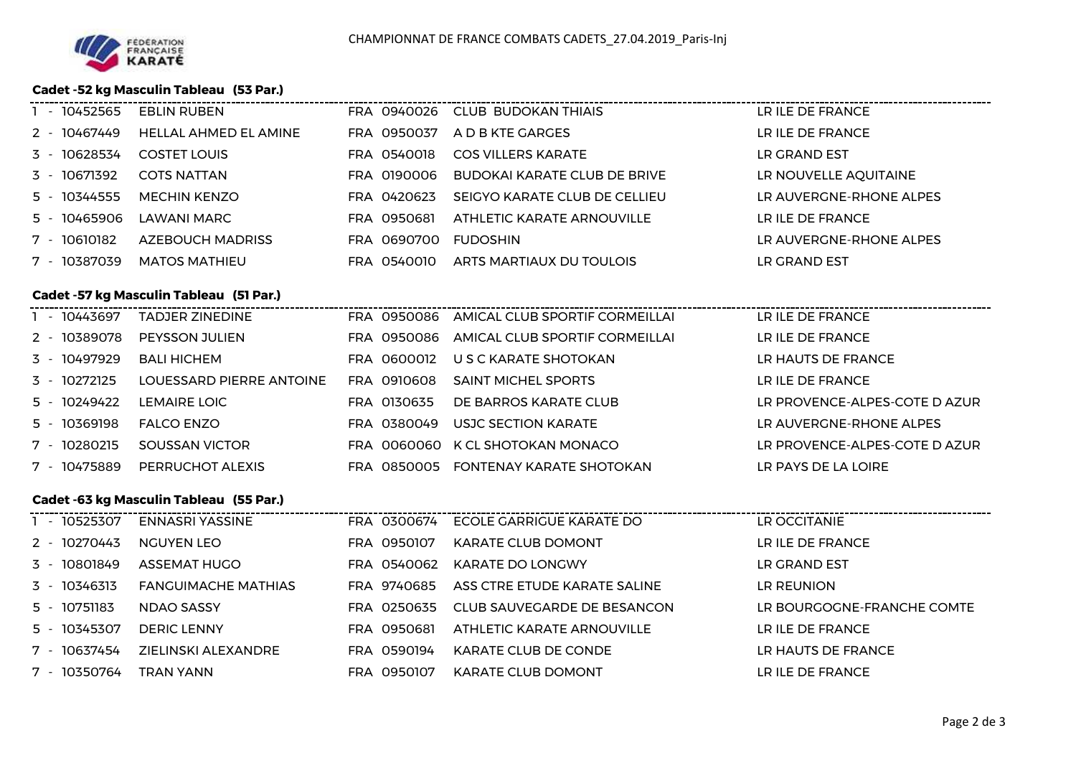## **Cadet -52 kg Masculin Tableau (53 Par.)**

| 1 - 10452565 | <b>EBLIN RUBEN</b>                             |             | FRA 0940026 CLUB BUDOKAN THIAIS            | LR ILE DE FRANCE              |
|--------------|------------------------------------------------|-------------|--------------------------------------------|-------------------------------|
| 2 - 10467449 | HELLAL AHMED EL AMINE                          | FRA 0950037 | A D B KTE GARGES                           | LR ILE DE FRANCE              |
| 3 - 10628534 | <b>COSTET LOUIS</b>                            | FRA 0540018 | <b>COS VILLERS KARATE</b>                  | LR GRAND EST                  |
| 3 - 10671392 | <b>COTS NATTAN</b>                             | FRA 0190006 | <b>BUDOKAI KARATE CLUB DE BRIVE</b>        | LR NOUVELLE AQUITAINE         |
| 5 - 10344555 | <b>MECHIN KENZO</b>                            | FRA 0420623 | SEIGYO KARATE CLUB DE CELLIEU              | LR AUVERGNE-RHONE ALPES       |
| 5 - 10465906 | LAWANI MARC                                    | FRA 0950681 | ATHLETIC KARATE ARNOUVILLE                 | LR ILE DE FRANCE              |
| 7 - 10610182 | <b>AZEBOUCH MADRISS</b>                        | FRA 0690700 | <b>FUDOSHIN</b>                            | LR AUVERGNE-RHONE ALPES       |
| 7 - 10387039 | <b>MATOS MATHIEU</b>                           | FRA 0540010 | ARTS MARTIAUX DU TOULOIS                   | LR GRAND EST                  |
|              |                                                |             |                                            |                               |
|              | <b>Cadet -57 kg Masculin Tableau (51 Par.)</b> |             |                                            |                               |
| 1 - 10443697 | <b>TADJER ZINEDINE</b>                         |             | FRA 0950086 AMICAL CLUB SPORTIF CORMEILLAI | LR ILE DE FRANCE              |
| 2 - 10389078 | <b>PEYSSON JULIEN</b>                          | FRA 0950086 | AMICAL CLUB SPORTIF CORMEILLAI             | LR ILE DE FRANCE              |
| 3 - 10497929 | <b>BALI HICHEM</b>                             | FRA 0600012 | U S C KARATE SHOTOKAN                      | LR HAUTS DE FRANCE            |
| 3 - 10272125 | LOUESSARD PIERRE ANTOINE                       | FRA 0910608 | <b>SAINT MICHEL SPORTS</b>                 | LR ILE DE FRANCE              |
| 5 - 10249422 | <b>LEMAIRE LOIC</b>                            | FRA 0130635 | DE BARROS KARATE CLUB                      | LR PROVENCE-ALPES-COTE D AZUR |
| 5 - 10369198 | <b>FALCO ENZO</b>                              | FRA 0380049 | USJC SECTION KARATE                        | LR AUVERGNE-RHONE ALPES       |
| 7 - 10280215 | SOUSSAN VICTOR                                 | FRA 0060060 | K CL SHOTOKAN MONACO                       | LR PROVENCE-ALPES-COTE D AZUR |
| 7 - 10475889 | PERRUCHOT ALEXIS                               | FRA 0850005 | FONTENAY KARATE SHOTOKAN                   | LR PAYS DE LA LOIRE           |
|              |                                                |             |                                            |                               |
|              | Cadet -63 kg Masculin Tableau (55 Par.)        |             |                                            |                               |
|              | 1 - 10525307 ENNASRI YASSINE                   |             | FRA 0300674 ECOLE GARRIGUE KARATE DO       | LR OCCITANIE                  |
| 2 - 10270443 | <b>NGUYEN LEO</b>                              |             | FRA 0950107 KARATE CLUB DOMONT             | LR ILE DE FRANCE              |
|              |                                                |             |                                            |                               |

| 3 - 10801849 | ASSEMAT HUGO        | FRA 0540062 | KARATE DO LONGWY             | LR GRAND EST               |
|--------------|---------------------|-------------|------------------------------|----------------------------|
| 3 - 10346313 | FANGUIMACHE MATHIAS | FRA 9740685 | ASS CTRE ETUDE KARATE SALINE | LR REUNION                 |
| 5 - 10751183 | NDAO SASSY          | FRA 0250635 | CLUB SAUVEGARDE DE BESANCON  | LR BOURGOGNE-FRANCHE COMTE |
| 5 - 10345307 | <b>DERIC LENNY</b>  | FRA 0950681 | ATHLETIC KARATE ARNOUVILLE   | LR ILE DE FRANCE           |
| 7 - 10637454 | ZIELINSKI ALEXANDRE | FRA 0590194 | KARATE CLUB DE CONDE         | LR HAUTS DE FRANCE         |
| 7 - 10350764 | TRAN YANN           | FRA 0950107 | KARATE CLUB DOMONT           | LR ILE DE FRANCE           |